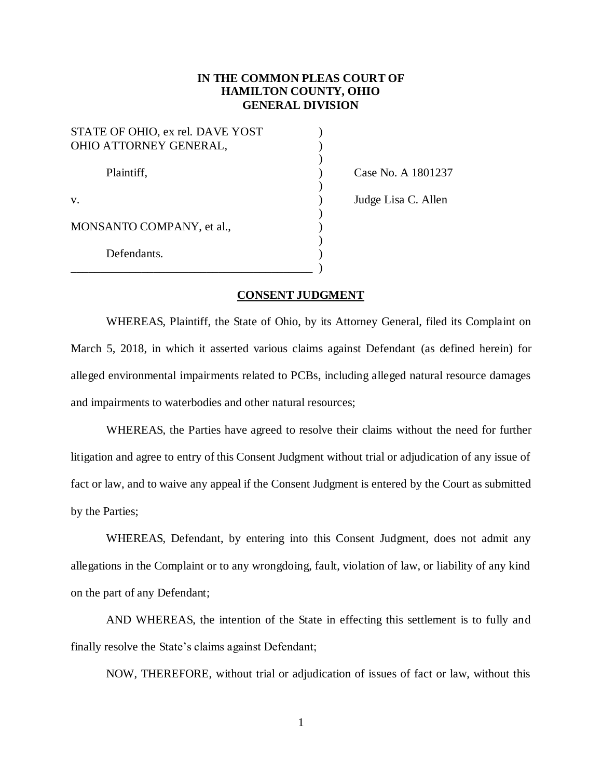# **IN THE COMMON PLEAS COURT OF HAMILTON COUNTY, OHIO GENERAL DIVISION**

| STATE OF OHIO, ex rel. DAVE YOST |  |
|----------------------------------|--|
| OHIO ATTORNEY GENERAL,           |  |
| Plaintiff,                       |  |
|                                  |  |
| V.                               |  |
| MONSANTO COMPANY, et al.,        |  |
| Defendants.                      |  |
|                                  |  |

Case No. A 1801237

) Judge Lisa C. Allen

#### **CONSENT JUDGMENT**

WHEREAS, Plaintiff, the State of Ohio, by its Attorney General, filed its Complaint on March 5, 2018, in which it asserted various claims against Defendant (as defined herein) for alleged environmental impairments related to PCBs, including alleged natural resource damages and impairments to waterbodies and other natural resources;

WHEREAS, the Parties have agreed to resolve their claims without the need for further litigation and agree to entry of this Consent Judgment without trial or adjudication of any issue of fact or law, and to waive any appeal if the Consent Judgment is entered by the Court as submitted by the Parties;

WHEREAS, Defendant, by entering into this Consent Judgment, does not admit any allegations in the Complaint or to any wrongdoing, fault, violation of law, or liability of any kind on the part of any Defendant;

AND WHEREAS, the intention of the State in effecting this settlement is to fully and finally resolve the State's claims against Defendant;

NOW, THEREFORE, without trial or adjudication of issues of fact or law, without this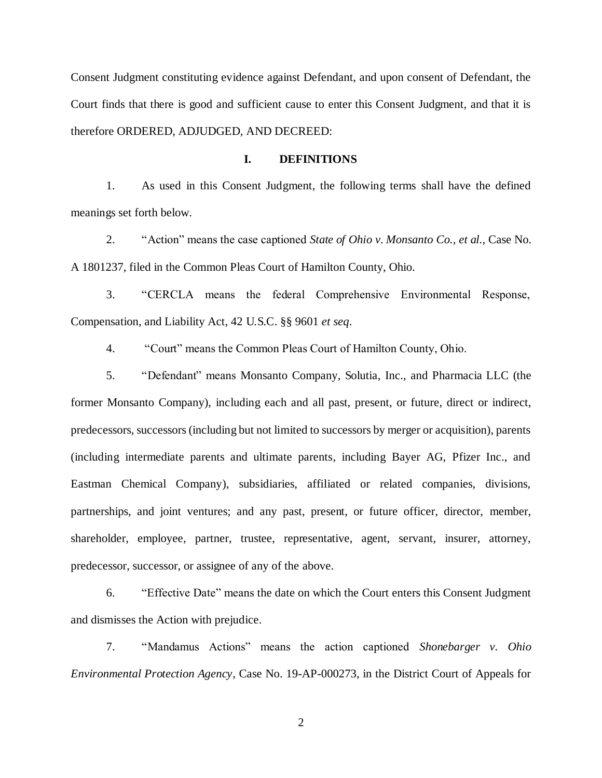Consent Judgment constituting evidence against Defendant, and upon consent of Defendant, the Court finds that there is good and sufficient cause to enter this Consent Judgment, and that it is therefore ORDERED, ADJUDGED, AND DECREED:

#### **I. DEFINITIONS**

1. As used in this Consent Judgment, the following terms shall have the defined meanings set forth below.

2. "Action" means the case captioned *State of Ohio v. Monsanto Co., et al.*, Case No. A 1801237, filed in the Common Pleas Court of Hamilton County, Ohio.

3. "CERCLA means the federal Comprehensive Environmental Response, Compensation, and Liability Act, 42 U.S.C. §§ 9601 *et seq*.

4. "Court" means the Common Pleas Court of Hamilton County, Ohio.

5. "Defendant" means Monsanto Company, Solutia, Inc., and Pharmacia LLC (the former Monsanto Company), including each and all past, present, or future, direct or indirect, predecessors, successors (including but not limited to successors by merger or acquisition), parents (including intermediate parents and ultimate parents, including Bayer AG, Pfizer Inc., and Eastman Chemical Company), subsidiaries, affiliated or related companies, divisions, partnerships, and joint ventures; and any past, present, or future officer, director, member, shareholder, employee, partner, trustee, representative, agent, servant, insurer, attorney, predecessor, successor, or assignee of any of the above.

6. "Effective Date" means the date on which the Court enters this Consent Judgment and dismisses the Action with prejudice.

7. "Mandamus Actions" means the action captioned *Shonebarger v. Ohio Environmental Protection Agency*, Case No. 19-AP-000273, in the District Court of Appeals for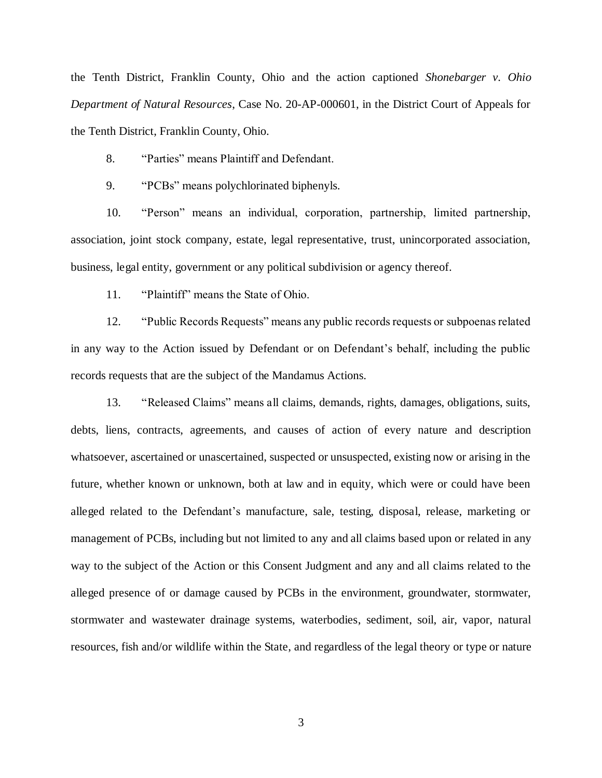the Tenth District, Franklin County, Ohio and the action captioned *Shonebarger v. Ohio Department of Natural Resources*, Case No. 20-AP-000601, in the District Court of Appeals for the Tenth District, Franklin County, Ohio.

8. "Parties" means Plaintiff and Defendant.

9. "PCBs" means polychlorinated biphenyls.

10. "Person" means an individual, corporation, partnership, limited partnership, association, joint stock company, estate, legal representative, trust, unincorporated association, business, legal entity, government or any political subdivision or agency thereof.

11. "Plaintiff" means the State of Ohio.

12. "Public Records Requests" means any public records requests or subpoenas related in any way to the Action issued by Defendant or on Defendant's behalf, including the public records requests that are the subject of the Mandamus Actions.

13. "Released Claims" means all claims, demands, rights, damages, obligations, suits, debts, liens, contracts, agreements, and causes of action of every nature and description whatsoever, ascertained or unascertained, suspected or unsuspected, existing now or arising in the future, whether known or unknown, both at law and in equity, which were or could have been alleged related to the Defendant's manufacture, sale, testing, disposal, release, marketing or management of PCBs, including but not limited to any and all claims based upon or related in any way to the subject of the Action or this Consent Judgment and any and all claims related to the alleged presence of or damage caused by PCBs in the environment, groundwater, stormwater, stormwater and wastewater drainage systems, waterbodies, sediment, soil, air, vapor, natural resources, fish and/or wildlife within the State, and regardless of the legal theory or type or nature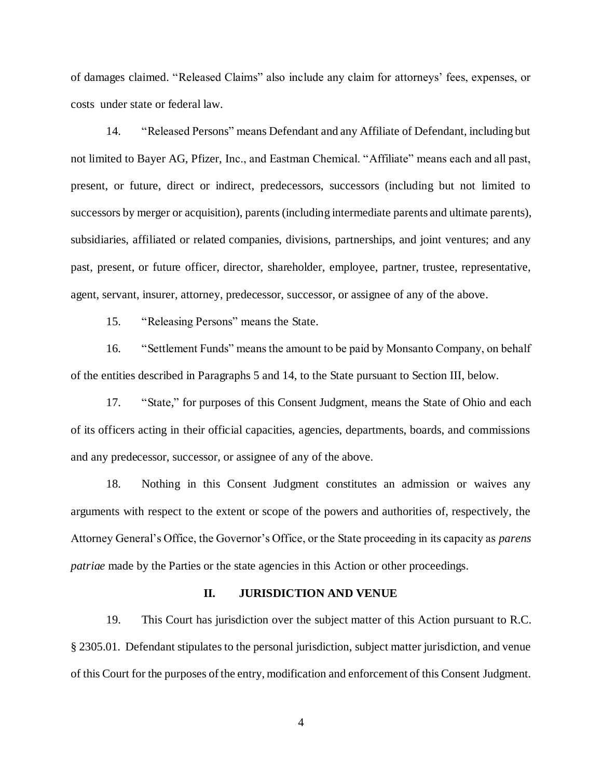of damages claimed. "Released Claims" also include any claim for attorneys' fees, expenses, or costs under state or federal law.

14. "Released Persons" means Defendant and any Affiliate of Defendant, including but not limited to Bayer AG, Pfizer, Inc., and Eastman Chemical. "Affiliate" means each and all past, present, or future, direct or indirect, predecessors, successors (including but not limited to successors by merger or acquisition), parents (including intermediate parents and ultimate parents), subsidiaries, affiliated or related companies, divisions, partnerships, and joint ventures; and any past, present, or future officer, director, shareholder, employee, partner, trustee, representative, agent, servant, insurer, attorney, predecessor, successor, or assignee of any of the above.

15. "Releasing Persons" means the State.

16. "Settlement Funds" means the amount to be paid by Monsanto Company, on behalf of the entities described in Paragraphs 5 and 14, to the State pursuant to Section III, below.

17. "State," for purposes of this Consent Judgment, means the State of Ohio and each of its officers acting in their official capacities, agencies, departments, boards, and commissions and any predecessor, successor, or assignee of any of the above.

18. Nothing in this Consent Judgment constitutes an admission or waives any arguments with respect to the extent or scope of the powers and authorities of, respectively, the Attorney General's Office, the Governor's Office, or the State proceeding in its capacity as *parens patriae* made by the Parties or the state agencies in this Action or other proceedings.

#### **II. JURISDICTION AND VENUE**

19. This Court has jurisdiction over the subject matter of this Action pursuant to R.C. § 2305.01. Defendant stipulates to the personal jurisdiction, subject matter jurisdiction, and venue of this Court for the purposes of the entry, modification and enforcement of this Consent Judgment.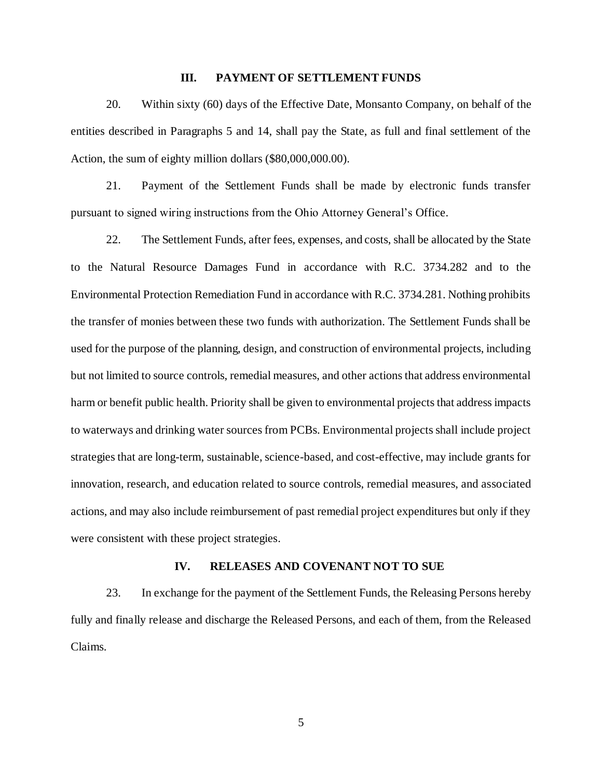### **III. PAYMENT OF SETTLEMENT FUNDS**

20. Within sixty (60) days of the Effective Date, Monsanto Company, on behalf of the entities described in Paragraphs 5 and 14, shall pay the State, as full and final settlement of the Action, the sum of eighty million dollars (\$80,000,000.00).

21. Payment of the Settlement Funds shall be made by electronic funds transfer pursuant to signed wiring instructions from the Ohio Attorney General's Office.

22. The Settlement Funds, after fees, expenses, and costs, shall be allocated by the State to the Natural Resource Damages Fund in accordance with R.C. 3734.282 and to the Environmental Protection Remediation Fund in accordance with R.C. 3734.281. Nothing prohibits the transfer of monies between these two funds with authorization. The Settlement Funds shall be used for the purpose of the planning, design, and construction of environmental projects, including but not limited to source controls, remedial measures, and other actions that address environmental harm or benefit public health. Priority shall be given to environmental projects that address impacts to waterways and drinking water sources from PCBs. Environmental projects shall include project strategies that are long-term, sustainable, science-based, and cost-effective, may include grants for innovation, research, and education related to source controls, remedial measures, and associated actions, and may also include reimbursement of past remedial project expenditures but only if they were consistent with these project strategies.

#### **IV. RELEASES AND COVENANT NOT TO SUE**

23. In exchange for the payment of the Settlement Funds, the Releasing Persons hereby fully and finally release and discharge the Released Persons, and each of them, from the Released Claims.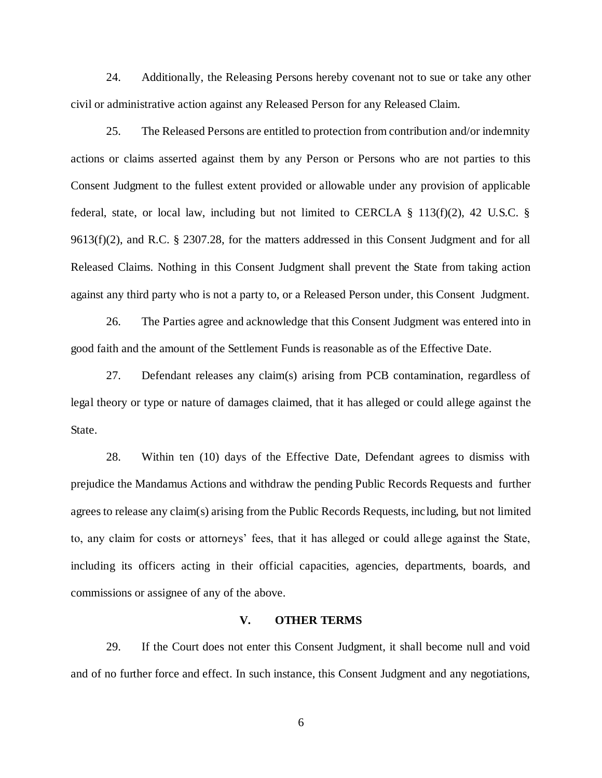24. Additionally, the Releasing Persons hereby covenant not to sue or take any other civil or administrative action against any Released Person for any Released Claim.

25. The Released Persons are entitled to protection from contribution and/or indemnity actions or claims asserted against them by any Person or Persons who are not parties to this Consent Judgment to the fullest extent provided or allowable under any provision of applicable federal, state, or local law, including but not limited to CERCLA § 113(f)(2), 42 U.S.C. § 9613(f)(2), and R.C. § 2307.28, for the matters addressed in this Consent Judgment and for all Released Claims. Nothing in this Consent Judgment shall prevent the State from taking action against any third party who is not a party to, or a Released Person under, this Consent Judgment.

26. The Parties agree and acknowledge that this Consent Judgment was entered into in good faith and the amount of the Settlement Funds is reasonable as of the Effective Date.

27. Defendant releases any claim(s) arising from PCB contamination, regardless of legal theory or type or nature of damages claimed, that it has alleged or could allege against the State.

28. Within ten (10) days of the Effective Date, Defendant agrees to dismiss with prejudice the Mandamus Actions and withdraw the pending Public Records Requests and further agrees to release any claim(s) arising from the Public Records Requests, including, but not limited to, any claim for costs or attorneys' fees, that it has alleged or could allege against the State, including its officers acting in their official capacities, agencies, departments, boards, and commissions or assignee of any of the above.

#### **V. OTHER TERMS**

29. If the Court does not enter this Consent Judgment, it shall become null and void and of no further force and effect. In such instance, this Consent Judgment and any negotiations,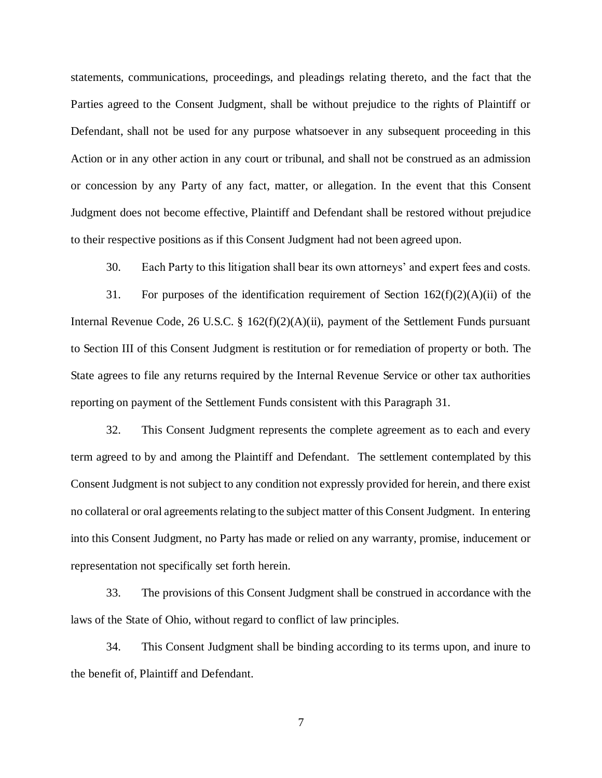statements, communications, proceedings, and pleadings relating thereto, and the fact that the Parties agreed to the Consent Judgment, shall be without prejudice to the rights of Plaintiff or Defendant, shall not be used for any purpose whatsoever in any subsequent proceeding in this Action or in any other action in any court or tribunal, and shall not be construed as an admission or concession by any Party of any fact, matter, or allegation. In the event that this Consent Judgment does not become effective, Plaintiff and Defendant shall be restored without prejudice to their respective positions as if this Consent Judgment had not been agreed upon.

30. Each Party to this litigation shall bear its own attorneys' and expert fees and costs.

31. For purposes of the identification requirement of Section 162(f)(2)(A)(ii) of the Internal Revenue Code, 26 U.S.C. § 162(f)(2)(A)(ii), payment of the Settlement Funds pursuant to Section III of this Consent Judgment is restitution or for remediation of property or both. The State agrees to file any returns required by the Internal Revenue Service or other tax authorities reporting on payment of the Settlement Funds consistent with this Paragraph 31.

32. This Consent Judgment represents the complete agreement as to each and every term agreed to by and among the Plaintiff and Defendant. The settlement contemplated by this Consent Judgment is not subject to any condition not expressly provided for herein, and there exist no collateral or oral agreements relating to the subject matter of this Consent Judgment. In entering into this Consent Judgment, no Party has made or relied on any warranty, promise, inducement or representation not specifically set forth herein.

33. The provisions of this Consent Judgment shall be construed in accordance with the laws of the State of Ohio, without regard to conflict of law principles.

34. This Consent Judgment shall be binding according to its terms upon, and inure to the benefit of, Plaintiff and Defendant.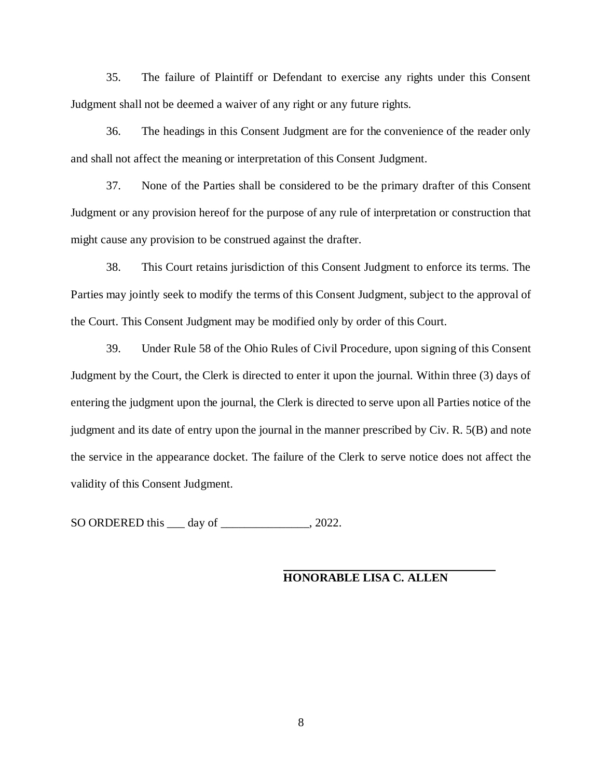35. The failure of Plaintiff or Defendant to exercise any rights under this Consent Judgment shall not be deemed a waiver of any right or any future rights.

36. The headings in this Consent Judgment are for the convenience of the reader only and shall not affect the meaning or interpretation of this Consent Judgment.

37. None of the Parties shall be considered to be the primary drafter of this Consent Judgment or any provision hereof for the purpose of any rule of interpretation or construction that might cause any provision to be construed against the drafter.

38. This Court retains jurisdiction of this Consent Judgment to enforce its terms. The Parties may jointly seek to modify the terms of this Consent Judgment, subject to the approval of the Court. This Consent Judgment may be modified only by order of this Court.

39. Under Rule 58 of the Ohio Rules of Civil Procedure, upon signing of this Consent Judgment by the Court, the Clerk is directed to enter it upon the journal. Within three (3) days of entering the judgment upon the journal, the Clerk is directed to serve upon all Parties notice of the judgment and its date of entry upon the journal in the manner prescribed by Civ. R. 5(B) and note the service in the appearance docket. The failure of the Clerk to serve notice does not affect the validity of this Consent Judgment.

SO ORDERED this \_\_\_ day of \_\_\_\_\_\_\_\_\_\_\_\_\_\_\_, 2022.

## **HONORABLE LISA C. ALLEN**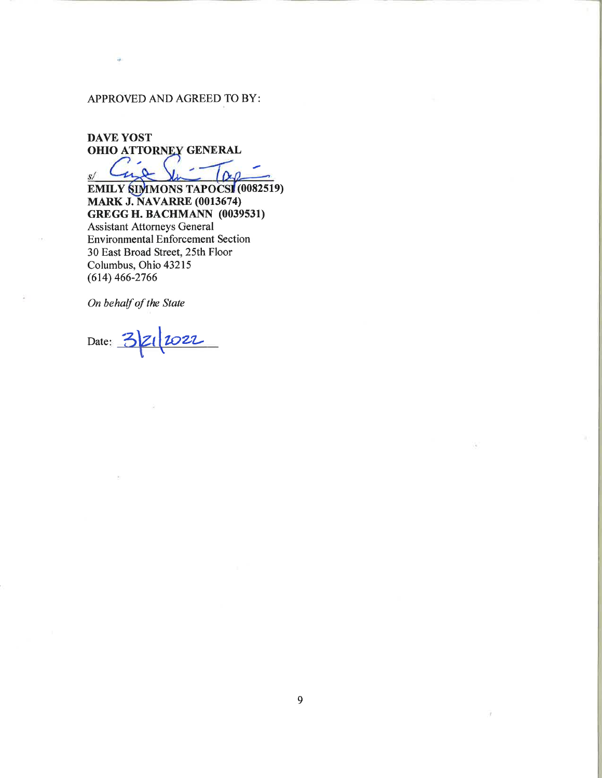## APPROVED AND AGREED TO BY:

ò,

**DAVE YOST** OHIO ATTORNEY GENERAL つ 。  $S/$ 

**EMILY SIMMONS TAPOCSI (0082519) MARK J. NAVARRE (0013674) GREGG H. BACHMANN (0039531) Assistant Attorneys General Environmental Enforcement Section** 30 East Broad Street, 25th Floor Columbus, Ohio 43215  $(614)$  466-2766

On behalf of the State

Date:  $32$ 2022